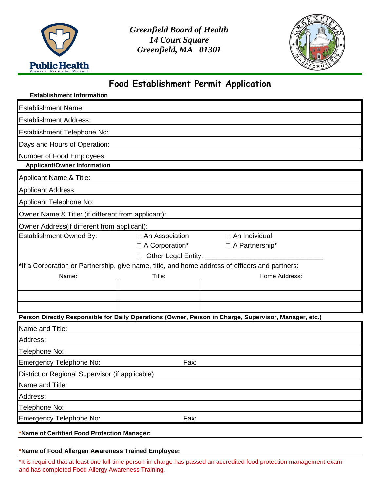

*Greenfield Board of Health 14 Court Square Greenfield, MA 01301*



## **Food Establishment Permit Application**

| <b>Establishment Information</b>                   |                       |                                                                                                       |  |  |  |  |  |  |
|----------------------------------------------------|-----------------------|-------------------------------------------------------------------------------------------------------|--|--|--|--|--|--|
| <b>Establishment Name:</b>                         |                       |                                                                                                       |  |  |  |  |  |  |
| <b>Establishment Address:</b>                      |                       |                                                                                                       |  |  |  |  |  |  |
| Establishment Telephone No:                        |                       |                                                                                                       |  |  |  |  |  |  |
| Days and Hours of Operation:                       |                       |                                                                                                       |  |  |  |  |  |  |
| Number of Food Employees:                          |                       |                                                                                                       |  |  |  |  |  |  |
| <b>Applicant/Owner Information</b>                 |                       |                                                                                                       |  |  |  |  |  |  |
| <b>Applicant Name &amp; Title:</b>                 |                       |                                                                                                       |  |  |  |  |  |  |
| <b>Applicant Address:</b>                          |                       |                                                                                                       |  |  |  |  |  |  |
| Applicant Telephone No:                            |                       |                                                                                                       |  |  |  |  |  |  |
| Owner Name & Title: (if different from applicant): |                       |                                                                                                       |  |  |  |  |  |  |
| Owner Address(if different from applicant):        |                       |                                                                                                       |  |  |  |  |  |  |
| <b>Establishment Owned By:</b>                     | $\Box$ An Association | $\Box$ An Individual                                                                                  |  |  |  |  |  |  |
|                                                    | $\Box$ A Corporation* | $\Box$ A Partnership*                                                                                 |  |  |  |  |  |  |
| $\Box$                                             |                       |                                                                                                       |  |  |  |  |  |  |
|                                                    |                       | *If a Corporation or Partnership, give name, title, and home address of officers and partners:        |  |  |  |  |  |  |
| Name:                                              | Title:                | Home Address:                                                                                         |  |  |  |  |  |  |
|                                                    |                       |                                                                                                       |  |  |  |  |  |  |
|                                                    |                       |                                                                                                       |  |  |  |  |  |  |
|                                                    |                       |                                                                                                       |  |  |  |  |  |  |
|                                                    |                       | Person Directly Responsible for Daily Operations (Owner, Person in Charge, Supervisor, Manager, etc.) |  |  |  |  |  |  |
| Name and Title:                                    |                       |                                                                                                       |  |  |  |  |  |  |
| Address:                                           |                       |                                                                                                       |  |  |  |  |  |  |
| Telephone No:                                      |                       |                                                                                                       |  |  |  |  |  |  |
| Emergency Telephone No:<br>Fax:                    |                       |                                                                                                       |  |  |  |  |  |  |
| District or Regional Supervisor (if applicable)    |                       |                                                                                                       |  |  |  |  |  |  |
| Name and Title:                                    |                       |                                                                                                       |  |  |  |  |  |  |
| Address:                                           |                       |                                                                                                       |  |  |  |  |  |  |
| Telephone No:                                      |                       |                                                                                                       |  |  |  |  |  |  |
| Emergency Telephone No:                            | Fax:                  |                                                                                                       |  |  |  |  |  |  |
| *Name of Certified Food Protection Manager:        |                       |                                                                                                       |  |  |  |  |  |  |

## **\*Name of Food Allergen Awareness Trained Employee:**

\*It is required that at least one full-time person-in-charge has passed an accredited food protection management exam and has completed Food Allergy Awareness Training.